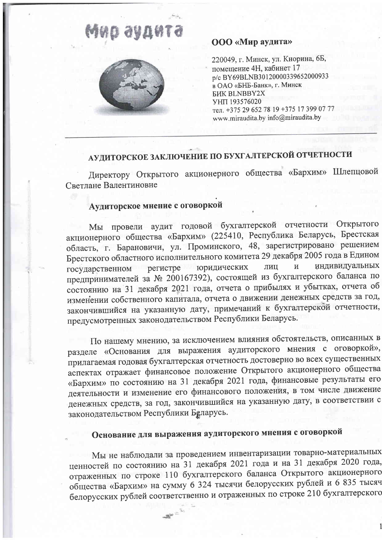# Mud aya



### ООО «Мир аудита»

220049, г. Минск, ул. Кнорина, 6Б, помещение 4Н, кабинет 17 p/c BY69BLNB30120000339652000933 в ОАО «БНБ-Банк», г. Минск **БИК BLNBBY2X** УНП 193576020 тел. +375 29 652 78 19 +375 17 399 07 77 www.miraudita.by info@miraudita.by

# АУДИТОРСКОЕ ЗАКЛЮЧЕНИЕ ПО БУХГАЛТЕРСКОЙ ОТЧЕТНОСТИ

Директору Открытого акционерного общества «Бархим» Шлепцовой Светлане Валентиновне

### Аудиторское мнение с оговоркой

Мы провели аудит годовой бухгалтерской отчетности Открытого акционерного общества «Бархим» (225410, Республика Беларусь, Брестская область, г. Барановичи, ул. Проминского, 48, зарегистрировано решением Брестского областного исполнительного комитета 29 декабря 2005 года в Едином индивидуальных ЛИЦ  $\overline{\mathbf{M}}$ юридических регистре государственном предпринимателей за № 200167392), состоящей из бухгалтерского баланса по состоянию на 31 декабря 2021 года, отчета о прибылях и убытках, отчета об изменении собственного капитала, отчета о движении денежных средств за год, закончившийся на указанную дату, примечаний к бухгалтерской отчетности, предусмотренных законодательством Республики Беларусь.

По нашему мнению, за исключением влияния обстоятельств, описанных в разделе «Основания для выражения аудиторского мнения с оговоркой», прилагаемая годовая бухгалтерская отчетность достоверно во всех существенных аспектах отражает финансовое положение Открытого акционерного общества «Бархим» по состоянию на 31 декабря 2021 года, финансовые результаты его деятельности и изменение его финансового положения, в том числе движение денежных средств, за год, закончившийся на указанную дату, в соответствии с законодательством Республики Беларусь.

## Основание для выражения аудиторского мнения с оговоркой

 $\frac{1}{\sqrt{2}}\sum_{i=1}^n\frac{1}{\sqrt{2}}\sum_{i=1}^n\frac{1}{\sqrt{2}}\sum_{i=1}^n\frac{1}{\sqrt{2}}\sum_{i=1}^n\frac{1}{\sqrt{2}}\sum_{i=1}^n\frac{1}{\sqrt{2}}\sum_{i=1}^n\frac{1}{\sqrt{2}}\sum_{i=1}^n\frac{1}{\sqrt{2}}\sum_{i=1}^n\frac{1}{\sqrt{2}}\sum_{i=1}^n\frac{1}{\sqrt{2}}\sum_{i=1}^n\frac{1}{\sqrt{2}}\sum_{i=1}^n\frac{1}{\sqrt{2}}\$ 

Мы не наблюдали за проведением инвентаризации товарно-материальных ценностей по состоянию на 31 декабря 2021 года и на 31 декабря 2020 года, отраженных по строке 110 бухгалтерского баланса Открытого акционерного общества «Бархим» на сумму 6 324 тысячи белорусских рублей и 6 835 тысяч белорусских рублей соответственно и отраженных по строке 210 бухгалтерского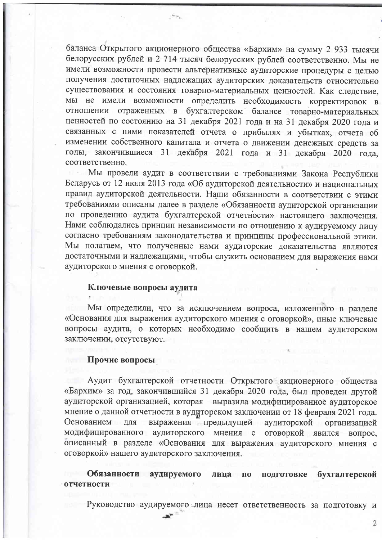баланса Открытого акционерного общества «Бархим» на сумму 2 933 тысячи белорусских рублей и 2 714 тысяч белорусских рублей соответственно. Мы не имели возможности провести альтернативные аудиторские процедуры с целью получения достаточных надлежащих аудиторских доказательств относительно существования и состояния товарно-материальных ценностей. Как следствие, мы не имели возможности определить необходимость корректировок в отношении отраженных в бухгалтерском балансе товарно-материальных ценностей по состоянию на 31 декабря 2021 года и на 31 декабря 2020 года и связанных с ними показателей отчета о прибылях и убытках, отчета об изменении собственного капитала и отчета о движении денежных средств за годы, закончившиеся 31 декабря 2021 года и 31 декабря 2020 года, соответственно.

Avoir.

Мы провели аудит в соответствии с требованиями Закона Республики Беларусь от 12 июля 2013 года «Об аудиторской деятельности» и национальных правил аудиторской деятельности. Наши обязанности в соответствии с этими требованиями описаны далее в разделе «Обязанности аудиторской организации по проведению аудита бухгалтерской отчетности» настоящего заключения. Нами соблюдались принцип независимости по отношению к аудируемому лицу согласно требованиям законодательства и принципы профессиональной этики. Мы полагаем, что полученные нами аудиторские доказательства являются достаточными и надлежащими, чтобы служить основанием для выражения нами аудиторского мнения с оговоркой.

#### Ключевые вопросы аудита

Мы определили, что за исключением вопроса, изложенного в разделе «Основания для выражения аудиторского мнения с оговоркой», иные ключевые вопросы аудита, о которых необходимо сообщить в нашем аудиторском заключении, отсутствуют.

#### Прочие вопросы

Аудит бухгалтерской отчетности Открытого акционерного общества «Бархим» за год, закончившийся 31 декабря 2020 года, был проведен другой аудиторской организацией, которая выразила модифицированное аудиторское мнение о данной отчетности в аудиторском заключении от 18 февраля 2021 года. выражения предыдущей Основанием для аудиторской организацией модифицированного аудиторского мнения с оговоркой явился вопрос, описанный в разделе «Основания для выражения аудиторского мнения с оговоркой» нашего аудиторского заключения.

Обязанности аудируемого лица  $\overline{10}$ подготовке бухгалтерской отчетности

Руководство аудируемого лица несет ответственность за подготовку и

 $\overline{2}$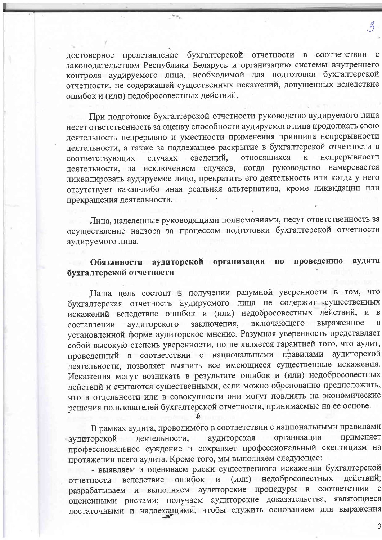достоверное представление бухгалтерской отчетности в соответствии с законодательством Республики Беларусь и организацию системы внутреннего контроля аудируемого лица, необходимой для подготовки бухгалтерской отчетности, не содержащей существенных искажений, допущенных вследствие ошибок и (или) недобросовестных действий.

steps.

При подготовке бухгалтерской отчетности руководство аудируемого лица несет ответственность за оценку способности аудируемого лица продолжать свою деятельность непрерывно и уместности применения принципа непрерывности деятельности, а также за надлежащее раскрытие в бухгалтерской отчетности в относящихся непрерывности случаях сведений,  $\bf K$ соответствующих деятельности, за исключением случаев, когда руководство намеревается ликвидировать аудируемое лицо, прекратить его деятельность или когда у него отсутствует какая-либо иная реальная альтернатива, кроме ликвидации или прекращения деятельности.

Лица, наделенные руководящими полномочиями, несут ответственность за осуществление надзора за процессом подготовки бухгалтерской отчетности аудируемого лица.

#### Обязанности аудиторской организации по проведению аудита бухгалтерской отчетности

Наша цель состоит в получении разумной уверенности в том, что бухгалтерская отчетность аудируемого лица не содержит существенных искажений вследствие ошибок и (или) недобросовестных действий, и в заключения, включающего выраженное  $\mathbf{B}$ аудиторского составлении установленной форме аудиторское мнение. Разумная уверенность представляет собой высокую степень уверенности, но не является гарантией того, что аудит, проведенный в соответствии с национальными правилами аудиторской деятельности, позволяет выявить все имеющиеся существенные искажения. Искажения могут возникать в результате ошибок и (или) недобросовестных действий и считаются существенными, если можно обоснованно предположить, что в отдельности или в совокупности они могут повлиять на экономические решения пользователей бухгалтерской отчетности, принимаемые на ее основе.

В рамках аудита, проводимого в соответствии с национальными правилами организация применяет аудиторская деятельности, аудиторской профессиональное суждение и сохраняет профессиональный скептицизм на протяжении всего аудита. Кроме того, мы выполняем следующее:

- выявляем и оцениваем риски существенного искажения бухгалтерской отчетности вследствие ошибок и (или) недобросовестных действий; разрабатываем и выполняем аудиторские процедуры в соответствии с оцененными рисками; получаем аудиторские доказательства, являющиеся достаточными и надлежащими, чтобы служить основанием для выражения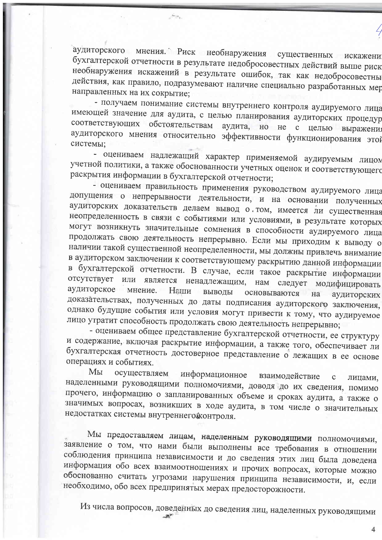аудиторского мнения. Риск необнаружения существенных искажени бухгалтерской отчетности в результате недобросовестных действий выше риск необнаружения искажений в результате ошибок, так как недобросовестны действия, как правило, подразумевают наличие специально разработанных мер направленных на их сокрытие;

Arcra.

- получаем понимание системы внутреннего контроля аудируемого лица имеющей значение для аудита, с целью планирования аудиторских процедур соответствующих обстоятельствам аудита, но не с целью выражения аудиторского мнения относительно эффективности функционирования этой системы;

- оцениваем надлежащий характер применяемой аудируемым лицом учетной политики, а также обоснованности учетных оценок и соответствующего раскрытия информации в бухгалтерской отчетности;

- оцениваем правильность применения руководством аудируемого лица допущения о непрерывности деятельности, и на основании полученных аудиторских доказательств делаем вывод о том, имеется ли существенная неопределенность в связи с событиями или условиями, в результате которых могут возникнуть значительные сомнения в способности аудируемого лица продолжать свою деятельность непрерывно. Если мы приходим к выводу о наличии такой существенной неопределенности, мы должны привлечь внимание в аудиторском заключении к соответствующему раскрытию данной информации в бухгалтерской отчетности. В случае, если такое раскрытие информации отсутствует или является ненадлежащим, нам следует модифицировать аудиторское мнение. Наши ВЫВОДЫ основываются на аудиторских доказательствах, полученных до даты подписания аудиторского заключения, однако будущие события или условия могут привести к тому, что аудируемое лицо утратит способность продолжать свою деятельность непрерывно;

- оцениваем общее представление бухгалтерской отчетности, ее структуру и содержание, включая раскрытие информации, а также того, обеспечивает ли бухгалтерская отчетность достоверное представление о лежащих в ее основе операциях и событиях.

Мы осуществляем информационное взаимодействие  $\ddot{\text{c}}$ лицами, наделенными руководящими полномочиями, доводя до их сведения, помимо прочего, информацию о запланированных объеме и сроках аудита, а также о значимых вопросах, возникших в ходе аудита, в том числе о значительных недостатках системы внутреннего контроля.

Мы предоставляем лицам, наделенным руководящими полномочиями, заявление о том, что нами были выполнены все требования в отношении соблюдения принципа независимости и до сведения этих лиц была доведена информация обо всех взаимоотношениях и прочих вопросах, которые можно обоснованно считать угрозами нарушения принципа независимости, и, если необходимо, обо всех предпринятых мерах предосторожности.

Из числа вопросов, доведенных до сведения лиц, наделенных руководящими